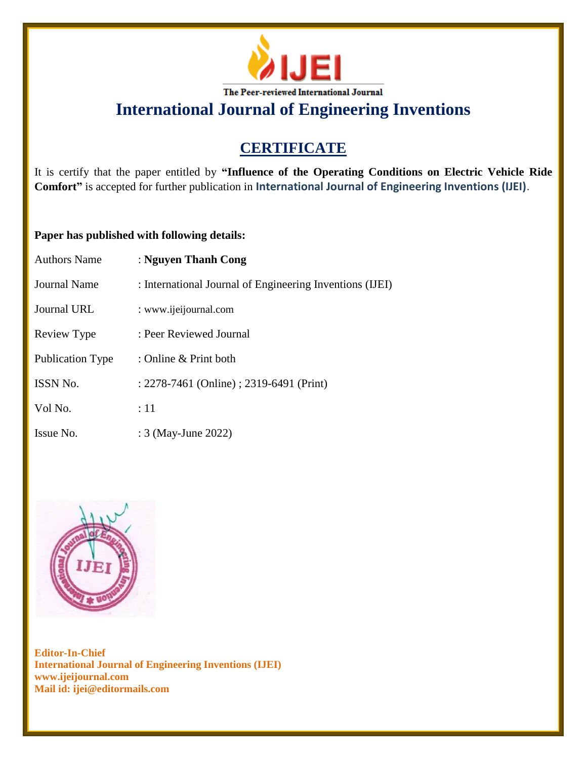

**International Journal of Engineering Inventions**

# **CERTIFICATE**

It is certify that the paper entitled by **"Influence of the Operating Conditions on Electric Vehicle Ride Comfort"** is accepted for further publication in **International Journal of Engineering Inventions (IJEI)**.

## **Paper has published with following details:**

| <b>Authors Name</b>     | : Nguyen Thanh Cong                                      |
|-------------------------|----------------------------------------------------------|
| Journal Name            | : International Journal of Engineering Inventions (IJEI) |
| Journal URL             | : www.ijeijournal.com                                    |
| Review Type             | : Peer Reviewed Journal                                  |
| <b>Publication Type</b> | : Online & Print both                                    |
| ISSN No.                | : 2278-7461 (Online) ; 2319-6491 (Print)                 |
| Vol No.                 | :11                                                      |
| Issue No.               | : 3 (May-June 2022)                                      |



**Editor-In-Chief International Journal of Engineering Inventions (IJEI) www.ijeijournal.com Mail id: ijei@editormails.com**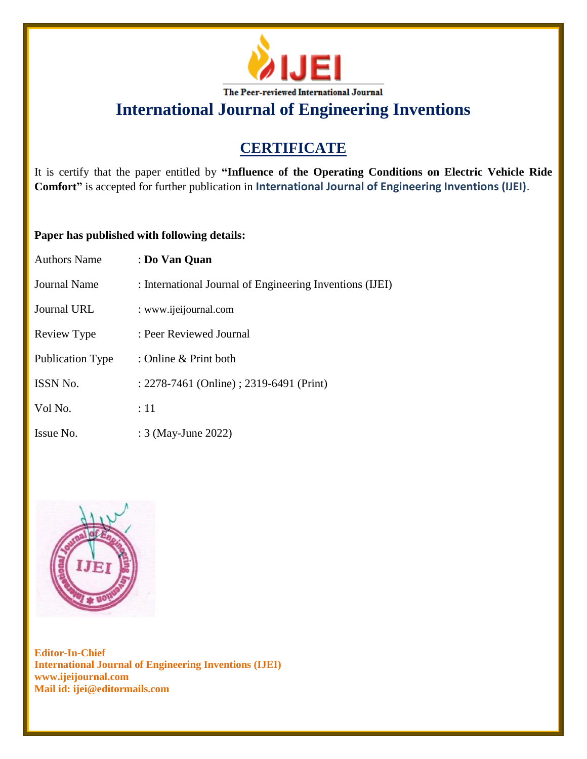

**International Journal of Engineering Inventions**

# **CERTIFICATE**

It is certify that the paper entitled by **"Influence of the Operating Conditions on Electric Vehicle Ride Comfort"** is accepted for further publication in **International Journal of Engineering Inventions (IJEI)**.

## **Paper has published with following details:**

| <b>Authors Name</b>     | : Do Van Quan                                            |
|-------------------------|----------------------------------------------------------|
| <b>Journal Name</b>     | : International Journal of Engineering Inventions (IJEI) |
| Journal URL             | : www.ijeijournal.com                                    |
| Review Type             | : Peer Reviewed Journal                                  |
| <b>Publication Type</b> | : Online & Print both                                    |
| <b>ISSN No.</b>         | : 2278-7461 (Online) ; 2319-6491 (Print)                 |
| Vol No.                 | :11                                                      |
| Issue No.               | : 3 (May-June 2022)                                      |



**Editor-In-Chief International Journal of Engineering Inventions (IJEI) www.ijeijournal.com Mail id: ijei@editormails.com**